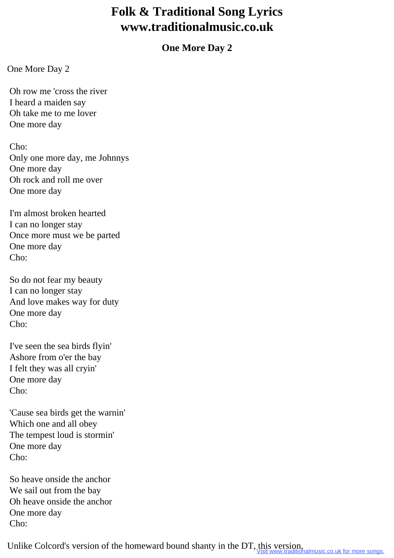## **Folk & Traditional Song Lyrics www.traditionalmusic.co.uk**

## **One More Day 2**

One More Day 2

 Oh row me 'cross the river I heard a maiden say Oh take me to me lover One more day

 Cho: Only one more day, me Johnnys One more day Oh rock and roll me over One more day

 I'm almost broken hearted I can no longer stay Once more must we be parted One more day Cho:

 So do not fear my beauty I can no longer stay And love makes way for duty One more day  $Cho'$ 

 I've seen the sea birds flyin' Ashore from o'er the bay I felt they was all cryin' One more day Cho:

 'Cause sea birds get the warnin' Which one and all obey The tempest loud is stormin' One more day Cho:

 So heave onside the anchor We sail out from the bay Oh heave onside the anchor One more day Cho:

Unlike Colcord's version of the homeward bound shanty in the DT, this version,<br>Visit www.traditionalmusic.co.uk for more songs.